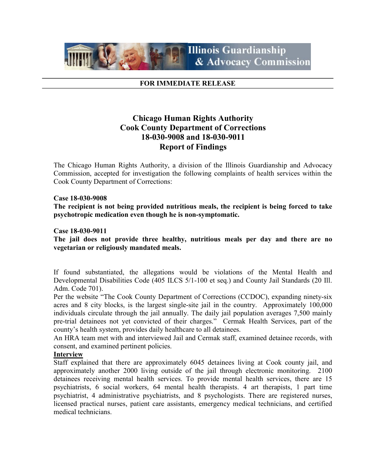

### FOR IMMEDIATE RELEASE

# Chicago Human Rights Authority Cook County Department of Corrections 18-030-9008 and 18-030-9011 Report of Findings

The Chicago Human Rights Authority, a division of the Illinois Guardianship and Advocacy Commission, accepted for investigation the following complaints of health services within the Cook County Department of Corrections:

### Case 18-030-9008

The recipient is not being provided nutritious meals, the recipient is being forced to take psychotropic medication even though he is non-symptomatic.

### Case 18-030-9011

The jail does not provide three healthy, nutritious meals per day and there are no vegetarian or religiously mandated meals.

If found substantiated, the allegations would be violations of the Mental Health and Developmental Disabilities Code (405 ILCS 5/1-100 et seq.) and County Jail Standards (20 Ill. Adm. Code 701).

Per the website "The Cook County Department of Corrections (CCDOC), expanding ninety-six acres and 8 city blocks, is the largest single-site jail in the country. Approximately 100,000 individuals circulate through the jail annually. The daily jail population averages 7,500 mainly pre-trial detainees not yet convicted of their charges." Cermak Health Services, part of the county's health system, provides daily healthcare to all detainees.

An HRA team met with and interviewed Jail and Cermak staff, examined detainee records, with consent, and examined pertinent policies.

#### Interview

Staff explained that there are approximately 6045 detainees living at Cook county jail, and approximately another 2000 living outside of the jail through electronic monitoring. 2100 detainees receiving mental health services. To provide mental health services, there are 15 psychiatrists, 6 social workers, 64 mental health therapists. 4 art therapists, 1 part time psychiatrist, 4 administrative psychiatrists, and 8 psychologists. There are registered nurses, licensed practical nurses, patient care assistants, emergency medical technicians, and certified medical technicians.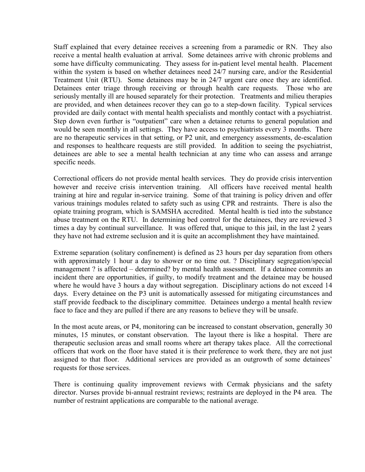Staff explained that every detainee receives a screening from a paramedic or RN. They also receive a mental health evaluation at arrival. Some detainees arrive with chronic problems and some have difficulty communicating. They assess for in-patient level mental health. Placement within the system is based on whether detainees need 24/7 nursing care, and/or the Residential Treatment Unit (RTU). Some detainees may be in 24/7 urgent care once they are identified. Detainees enter triage through receiving or through health care requests. Those who are seriously mentally ill are housed separately for their protection. Treatments and milieu therapies are provided, and when detainees recover they can go to a step-down facility. Typical services provided are daily contact with mental health specialists and monthly contact with a psychiatrist. Step down even further is "outpatient" care when a detainee returns to general population and would be seen monthly in all settings. They have access to psychiatrists every 3 months. There are no therapeutic services in that setting, or P2 unit, and emergency assessments, de-escalation and responses to healthcare requests are still provided. In addition to seeing the psychiatrist, detainees are able to see a mental health technician at any time who can assess and arrange specific needs.

Correctional officers do not provide mental health services. They do provide crisis intervention however and receive crisis intervention training. All officers have received mental health training at hire and regular in-service training. Some of that training is policy driven and offer various trainings modules related to safety such as using CPR and restraints. There is also the opiate training program, which is SAMSHA accredited. Mental health is tied into the substance abuse treatment on the RTU. In determining bed control for the detainees, they are reviewed 3 times a day by continual surveillance. It was offered that, unique to this jail, in the last 2 years they have not had extreme seclusion and it is quite an accomplishment they have maintained.

Extreme separation (solitary confinement) is defined as 23 hours per day separation from others with approximately 1 hour a day to shower or no time out. ? Disciplinary segregation/special management ? is affected – determined? by mental health assessment. If a detainee commits an incident there are opportunities, if guilty, to modify treatment and the detainee may be housed where he would have 3 hours a day without segregation. Disciplinary actions do not exceed 14 days. Every detainee on the P3 unit is automatically assessed for mitigating circumstances and staff provide feedback to the disciplinary committee. Detainees undergo a mental health review face to face and they are pulled if there are any reasons to believe they will be unsafe.

In the most acute areas, or P4, monitoring can be increased to constant observation, generally 30 minutes, 15 minutes, or constant observation. The layout there is like a hospital. There are therapeutic seclusion areas and small rooms where art therapy takes place. All the correctional officers that work on the floor have stated it is their preference to work there, they are not just assigned to that floor. Additional services are provided as an outgrowth of some detainees' requests for those services.

There is continuing quality improvement reviews with Cermak physicians and the safety director. Nurses provide bi-annual restraint reviews; restraints are deployed in the P4 area. The number of restraint applications are comparable to the national average.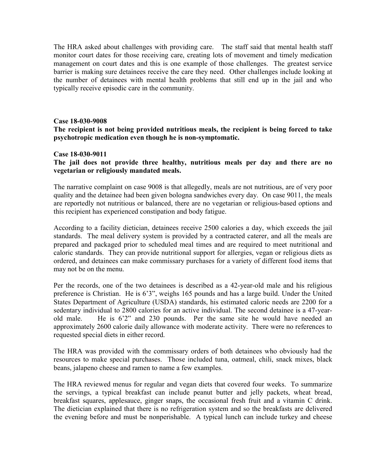The HRA asked about challenges with providing care. The staff said that mental health staff monitor court dates for those receiving care, creating lots of movement and timely medication management on court dates and this is one example of those challenges. The greatest service barrier is making sure detainees receive the care they need. Other challenges include looking at the number of detainees with mental health problems that still end up in the jail and who typically receive episodic care in the community.

## Case 18-030-9008

# The recipient is not being provided nutritious meals, the recipient is being forced to take psychotropic medication even though he is non-symptomatic.

## Case 18-030-9011

# The jail does not provide three healthy, nutritious meals per day and there are no vegetarian or religiously mandated meals.

The narrative complaint on case 9008 is that allegedly, meals are not nutritious, are of very poor quality and the detainee had been given bologna sandwiches every day. On case 9011, the meals are reportedly not nutritious or balanced, there are no vegetarian or religious-based options and this recipient has experienced constipation and body fatigue.

According to a facility dietician, detainees receive 2500 calories a day, which exceeds the jail standards. The meal delivery system is provided by a contracted caterer, and all the meals are prepared and packaged prior to scheduled meal times and are required to meet nutritional and caloric standards. They can provide nutritional support for allergies, vegan or religious diets as ordered, and detainees can make commissary purchases for a variety of different food items that may not be on the menu.

Per the records, one of the two detainees is described as a 42-year-old male and his religious preference is Christian. He is 6'3", weighs 165 pounds and has a large build. Under the United States Department of Agriculture (USDA) standards, his estimated caloric needs are 2200 for a sedentary individual to 2800 calories for an active individual. The second detainee is a 47-yearold male. He is 6'2" and 230 pounds. Per the same site he would have needed an approximately 2600 calorie daily allowance with moderate activity. There were no references to requested special diets in either record.

The HRA was provided with the commissary orders of both detainees who obviously had the resources to make special purchases. Those included tuna, oatmeal, chili, snack mixes, black beans, jalapeno cheese and ramen to name a few examples.

The HRA reviewed menus for regular and vegan diets that covered four weeks. To summarize the servings, a typical breakfast can include peanut butter and jelly packets, wheat bread, breakfast squares, applesauce, ginger snaps, the occasional fresh fruit and a vitamin C drink. The dietician explained that there is no refrigeration system and so the breakfasts are delivered the evening before and must be nonperishable. A typical lunch can include turkey and cheese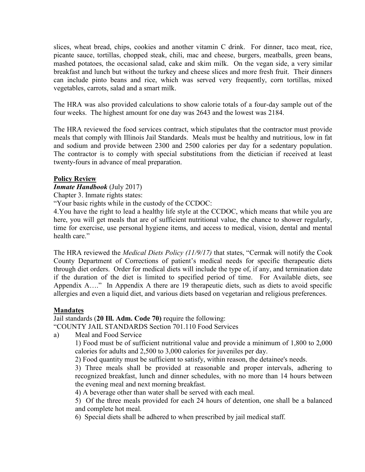slices, wheat bread, chips, cookies and another vitamin C drink. For dinner, taco meat, rice, picante sauce, tortillas, chopped steak, chili, mac and cheese, burgers, meatballs, green beans, mashed potatoes, the occasional salad, cake and skim milk. On the vegan side, a very similar breakfast and lunch but without the turkey and cheese slices and more fresh fruit. Their dinners can include pinto beans and rice, which was served very frequently, corn tortillas, mixed vegetables, carrots, salad and a smart milk.

The HRA was also provided calculations to show calorie totals of a four-day sample out of the four weeks. The highest amount for one day was 2643 and the lowest was 2184.

The HRA reviewed the food services contract, which stipulates that the contractor must provide meals that comply with Illinois Jail Standards. Meals must be healthy and nutritious, low in fat and sodium and provide between 2300 and 2500 calories per day for a sedentary population. The contractor is to comply with special substitutions from the dietician if received at least twenty-fours in advance of meal preparation.

# Policy Review

# Inmate Handbook (July 2017)

Chapter 3. Inmate rights states:

"Your basic rights while in the custody of the CCDOC:

4.You have the right to lead a healthy life style at the CCDOC, which means that while you are here, you will get meals that are of sufficient nutritional value, the chance to shower regularly, time for exercise, use personal hygiene items, and access to medical, vision, dental and mental health care."

The HRA reviewed the *Medical Diets Policy (11/9/17)* that states, "Cermak will notify the Cook County Department of Corrections of patient's medical needs for specific therapeutic diets through diet orders. Order for medical diets will include the type of, if any, and termination date if the duration of the diet is limited to specified period of time. For Available diets, see Appendix A…." In Appendix A there are 19 therapeutic diets, such as diets to avoid specific allergies and even a liquid diet, and various diets based on vegetarian and religious preferences.

# **Mandates**

Jail standards (20 Ill. Adm. Code 70) require the following: "COUNTY JAIL STANDARDS Section 701.110 Food Services

a) Meal and Food Service

1) Food must be of sufficient nutritional value and provide a minimum of 1,800 to 2,000 calories for adults and 2,500 to 3,000 calories for juveniles per day.

2) Food quantity must be sufficient to satisfy, within reason, the detainee's needs.

3) Three meals shall be provided at reasonable and proper intervals, adhering to recognized breakfast, lunch and dinner schedules, with no more than 14 hours between the evening meal and next morning breakfast.

4) A beverage other than water shall be served with each meal.

5) Of the three meals provided for each 24 hours of detention, one shall be a balanced and complete hot meal.

6) Special diets shall be adhered to when prescribed by jail medical staff.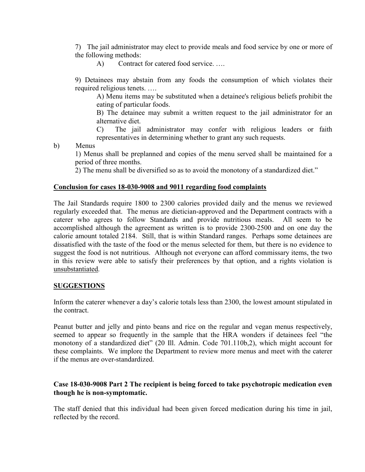7) The jail administrator may elect to provide meals and food service by one or more of the following methods:

A) Contract for catered food service. ….

9) Detainees may abstain from any foods the consumption of which violates their required religious tenets. ….

A) Menu items may be substituted when a detainee's religious beliefs prohibit the eating of particular foods.

B) The detainee may submit a written request to the jail administrator for an alternative diet.

C) The jail administrator may confer with religious leaders or faith representatives in determining whether to grant any such requests.

b) Menus

1) Menus shall be preplanned and copies of the menu served shall be maintained for a period of three months.

2) The menu shall be diversified so as to avoid the monotony of a standardized diet."

## Conclusion for cases 18-030-9008 and 9011 regarding food complaints

The Jail Standards require 1800 to 2300 calories provided daily and the menus we reviewed regularly exceeded that. The menus are dietician-approved and the Department contracts with a caterer who agrees to follow Standards and provide nutritious meals. All seem to be accomplished although the agreement as written is to provide 2300-2500 and on one day the calorie amount totaled 2184. Still, that is within Standard ranges. Perhaps some detainees are dissatisfied with the taste of the food or the menus selected for them, but there is no evidence to suggest the food is not nutritious. Although not everyone can afford commissary items, the two in this review were able to satisfy their preferences by that option, and a rights violation is unsubstantiated.

### **SUGGESTIONS**

Inform the caterer whenever a day's calorie totals less than 2300, the lowest amount stipulated in the contract.

Peanut butter and jelly and pinto beans and rice on the regular and vegan menus respectively, seemed to appear so frequently in the sample that the HRA wonders if detainees feel "the monotony of a standardized diet" (20 Ill. Admin. Code 701.110b,2), which might account for these complaints. We implore the Department to review more menus and meet with the caterer if the menus are over-standardized.

# Case 18-030-9008 Part 2 The recipient is being forced to take psychotropic medication even though he is non-symptomatic.

The staff denied that this individual had been given forced medication during his time in jail, reflected by the record.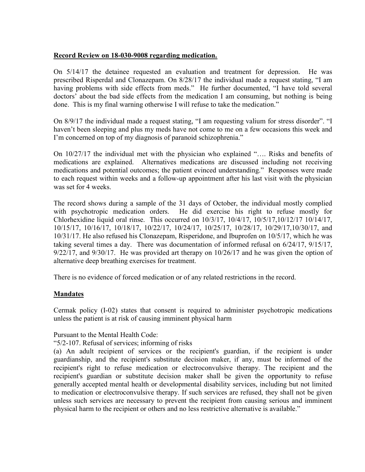## Record Review on 18-030-9008 regarding medication.

On 5/14/17 the detainee requested an evaluation and treatment for depression. He was prescribed Risperdal and Clonazepam. On 8/28/17 the individual made a request stating, "I am having problems with side effects from meds." He further documented, "I have told several doctors' about the bad side effects from the medication I am consuming, but nothing is being done. This is my final warning otherwise I will refuse to take the medication."

On 8/9/17 the individual made a request stating, "I am requesting valium for stress disorder". "I haven't been sleeping and plus my meds have not come to me on a few occasions this week and I'm concerned on top of my diagnosis of paranoid schizophrenia."

On 10/27/17 the individual met with the physician who explained "…. Risks and benefits of medications are explained. Alternatives medications are discussed including not receiving medications and potential outcomes; the patient evinced understanding." Responses were made to each request within weeks and a follow-up appointment after his last visit with the physician was set for 4 weeks.

The record shows during a sample of the 31 days of October, the individual mostly complied with psychotropic medication orders. He did exercise his right to refuse mostly for Chlorhexidine liquid oral rinse. This occurred on 10/3/17, 10/4/17, 10/5/17,10/12/17 10/14/17, 10/15/17, 10/16/17, 10/18/17, 10/22/17, 10/24/17, 10/25/17, 10/28/17, 10/29/17,10/30/17, and 10/31/17. He also refused his Clonazepam, Risperidone, and Ibuprofen on 10/5/17, which he was taking several times a day. There was documentation of informed refusal on 6/24/17, 9/15/17,  $9/22/17$ , and  $9/30/17$ . He was provided art therapy on  $10/26/17$  and he was given the option of alternative deep breathing exercises for treatment.

There is no evidence of forced medication or of any related restrictions in the record.

# Mandates

Cermak policy (I-02) states that consent is required to administer psychotropic medications unless the patient is at risk of causing imminent physical harm

### Pursuant to the Mental Health Code:

### "5/2-107. Refusal of services; informing of risks

(a) An adult recipient of services or the recipient's guardian, if the recipient is under guardianship, and the recipient's substitute decision maker, if any, must be informed of the recipient's right to refuse medication or electroconvulsive therapy. The recipient and the recipient's guardian or substitute decision maker shall be given the opportunity to refuse generally accepted mental health or developmental disability services, including but not limited to medication or electroconvulsive therapy. If such services are refused, they shall not be given unless such services are necessary to prevent the recipient from causing serious and imminent physical harm to the recipient or others and no less restrictive alternative is available."